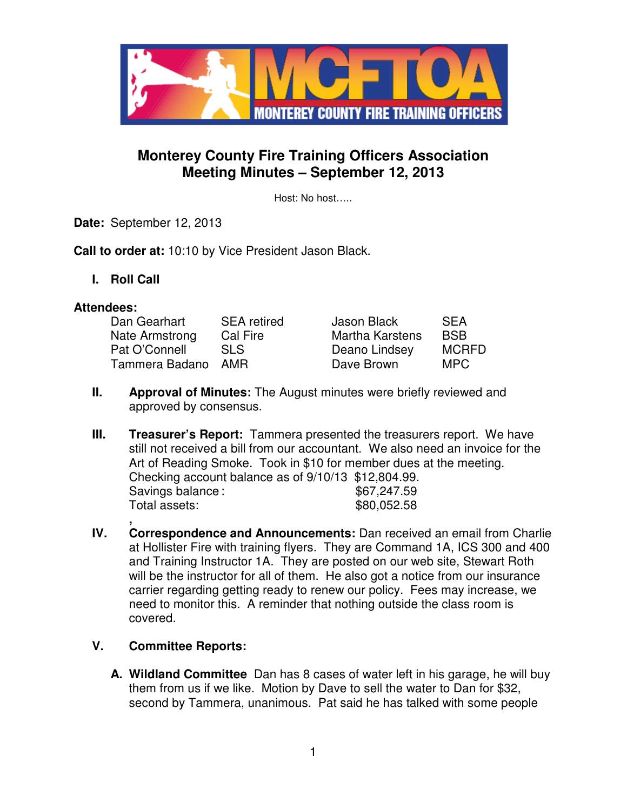

# **Monterey County Fire Training Officers Association Meeting Minutes – September 12, 2013**

Host: No host…..

**Date:** September 12, 2013

**Call to order at:** 10:10 by Vice President Jason Black.

**I. Roll Call** 

### **Attendees:**

| Dan Gearhart   | <b>SEA</b> retired | Jason Black            | <b>SEA</b>   |
|----------------|--------------------|------------------------|--------------|
| Nate Armstrong | Cal Fire           | <b>Martha Karstens</b> | <b>BSB</b>   |
| Pat O'Connell  | SLS.               | Deano Lindsey          | <b>MCRFD</b> |
| Tammera Badano | AMR                | Dave Brown             | MPC          |

- **II.** Approval of Minutes: The August minutes were briefly reviewed and approved by consensus.
- **III.** Treasurer's Report: Tammera presented the treasurers report. We have still not received a bill from our accountant. We also need an invoice for the Art of Reading Smoke. Took in \$10 for member dues at the meeting. Checking account balance as of 9/10/13 \$12,804.99. Savings balance :  $$67.247.59$ Total assets:  $$80,052.58$
- **, IV. Correspondence and Announcements:** Dan received an email from Charlie at Hollister Fire with training flyers. They are Command 1A, ICS 300 and 400 and Training Instructor 1A. They are posted on our web site, Stewart Roth will be the instructor for all of them. He also got a notice from our insurance carrier regarding getting ready to renew our policy. Fees may increase, we need to monitor this. A reminder that nothing outside the class room is covered.

## **V. Committee Reports:**

**A. Wildland Committee** Dan has 8 cases of water left in his garage, he will buy them from us if we like. Motion by Dave to sell the water to Dan for \$32, second by Tammera, unanimous. Pat said he has talked with some people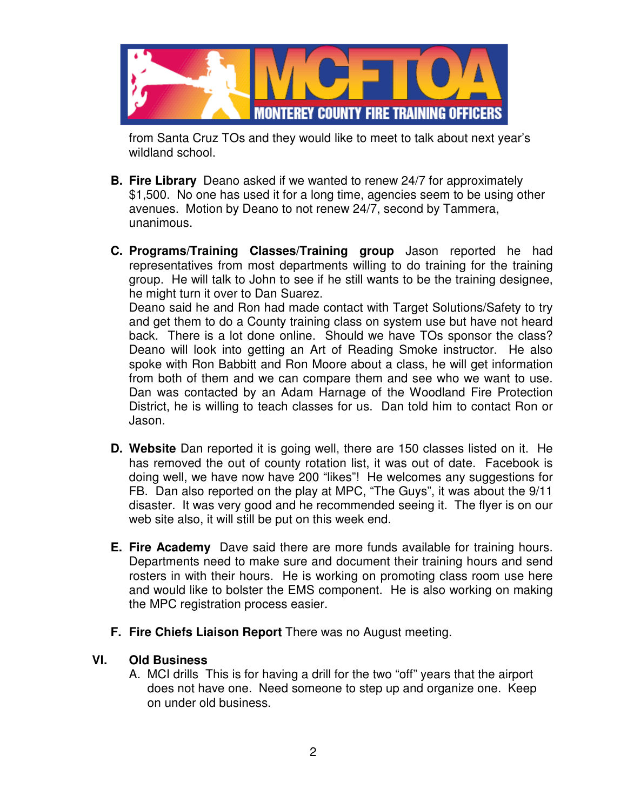

from Santa Cruz TOs and they would like to meet to talk about next year's wildland school.

- **B. Fire Library** Deano asked if we wanted to renew 24/7 for approximately \$1,500. No one has used it for a long time, agencies seem to be using other avenues. Motion by Deano to not renew 24/7, second by Tammera, unanimous.
- **C. Programs/Training Classes/Training group** Jason reported he had representatives from most departments willing to do training for the training group. He will talk to John to see if he still wants to be the training designee, he might turn it over to Dan Suarez.

Deano said he and Ron had made contact with Target Solutions/Safety to try and get them to do a County training class on system use but have not heard back. There is a lot done online. Should we have TOs sponsor the class? Deano will look into getting an Art of Reading Smoke instructor. He also spoke with Ron Babbitt and Ron Moore about a class, he will get information from both of them and we can compare them and see who we want to use. Dan was contacted by an Adam Harnage of the Woodland Fire Protection District, he is willing to teach classes for us. Dan told him to contact Ron or Jason.

- **D. Website** Dan reported it is going well, there are 150 classes listed on it. He has removed the out of county rotation list, it was out of date. Facebook is doing well, we have now have 200 "likes"! He welcomes any suggestions for FB. Dan also reported on the play at MPC, "The Guys", it was about the 9/11 disaster. It was very good and he recommended seeing it. The flyer is on our web site also, it will still be put on this week end.
- **E. Fire Academy** Dave said there are more funds available for training hours. Departments need to make sure and document their training hours and send rosters in with their hours. He is working on promoting class room use here and would like to bolster the EMS component. He is also working on making the MPC registration process easier.
- **F. Fire Chiefs Liaison Report** There was no August meeting.

### **VI. Old Business**

A. MCI drills This is for having a drill for the two "off" years that the airport does not have one. Need someone to step up and organize one. Keep on under old business.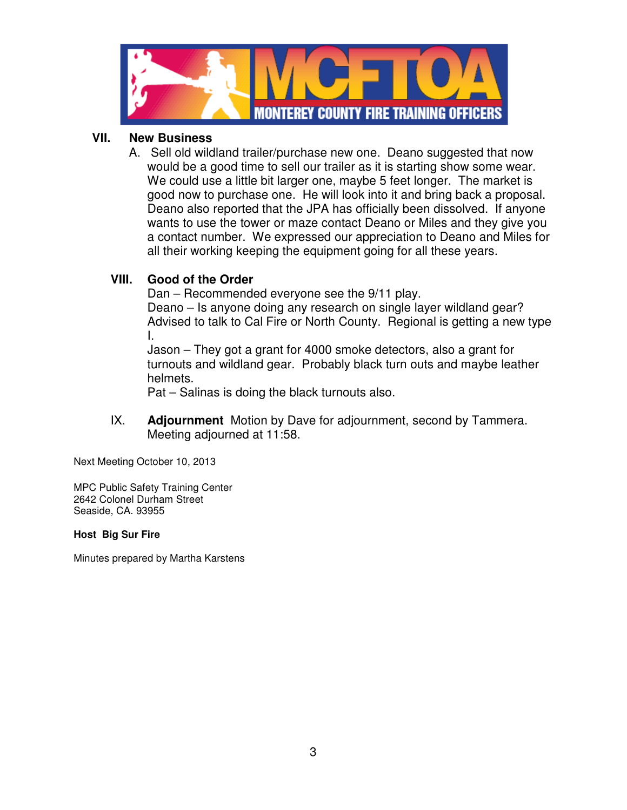

### **VII. New Business**

A. Sell old wildland trailer/purchase new one. Deano suggested that now would be a good time to sell our trailer as it is starting show some wear. We could use a little bit larger one, maybe 5 feet longer. The market is good now to purchase one. He will look into it and bring back a proposal. Deano also reported that the JPA has officially been dissolved. If anyone wants to use the tower or maze contact Deano or Miles and they give you a contact number. We expressed our appreciation to Deano and Miles for all their working keeping the equipment going for all these years.

## **VIII. Good of the Order**

Dan – Recommended everyone see the 9/11 play.

Deano – Is anyone doing any research on single layer wildland gear? Advised to talk to Cal Fire or North County. Regional is getting a new type I.

Jason – They got a grant for 4000 smoke detectors, also a grant for turnouts and wildland gear. Probably black turn outs and maybe leather helmets.

Pat – Salinas is doing the black turnouts also.

IX. **Adjournment** Motion by Dave for adjournment, second by Tammera. Meeting adjourned at 11:58.

Next Meeting October 10, 2013

MPC Public Safety Training Center 2642 Colonel Durham Street Seaside, CA. 93955

#### **Host Big Sur Fire**

Minutes prepared by Martha Karstens